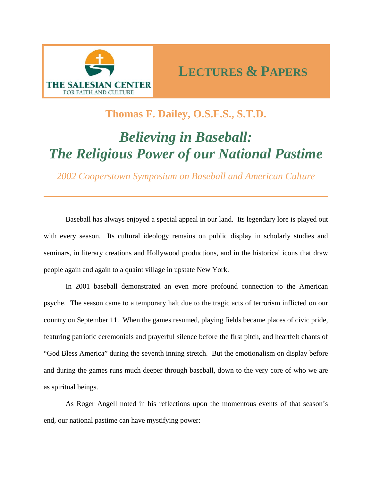

## **LECTURES & PAPERS**

### **Thomas F. Dailey, O.S.F.S., S.T.D.**

# *Believing in Baseball: The Religious Power of our National Pastime*

*2002 Cooperstown Symposium on Baseball and American Culture* 

Baseball has always enjoyed a special appeal in our land. Its legendary lore is played out with every season. Its cultural ideology remains on public display in scholarly studies and seminars, in literary creations and Hollywood productions, and in the historical icons that draw people again and again to a quaint village in upstate New York.

In 2001 baseball demonstrated an even more profound connection to the American psyche. The season came to a temporary halt due to the tragic acts of terrorism inflicted on our country on September 11. When the games resumed, playing fields became places of civic pride, featuring patriotic ceremonials and prayerful silence before the first pitch, and heartfelt chants of "God Bless America" during the seventh inning stretch. But the emotionalism on display before and during the games runs much deeper through baseball, down to the very core of who we are as spiritual beings.

As Roger Angell noted in his reflections upon the momentous events of that season's end, our national pastime can have mystifying power: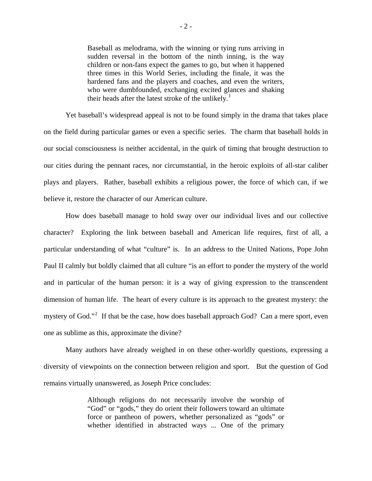Baseball as melodrama, with the winning or tying runs arriving in sudden reversal in the bottom of the ninth inning, is the way children or non-fans expect the games to go, but when it happened three times in this World Series, including the finale, it was the hardened fans and the players and coaches, and even the writers, who were dumbfounded, exchanging excited glances and shaking their heads after the latest stroke of the unlikely.<sup>[1](#page-22-0)</sup>

Yet baseball's widespread appeal is not to be found simply in the drama that takes place on the field during particular games or even a specific series. The charm that baseball holds in our social consciousness is neither accidental, in the quirk of timing that brought destruction to our cities during the pennant races, nor circumstantial, in the heroic exploits of all-star caliber plays and players. Rather, baseball exhibits a religious power, the force of which can, if we believe it, restore the character of our American culture.

How does baseball manage to hold sway over our individual lives and our collective character? Exploring the link between baseball and American life requires, first of all, a particular understanding of what "culture" is. In an address to the United Nations, Pope John Paul II calmly but boldly claimed that all culture "is an effort to ponder the mystery of the world and in particular of the human person: it is a way of giving expression to the transcendent dimension of human life. The heart of every culture is its approach to the greatest mystery: the mystery of God."<sup>[2](#page-22-1)</sup> If that be the case, how does baseball approach God? Can a mere sport, even one as sublime as this, approximate the divine?

Many authors have already weighed in on these other-worldly questions, expressing a diversity of viewpoints on the connection between religion and sport. But the question of God remains virtually unanswered, as Joseph Price concludes:

> Although religions do not necessarily involve the worship of "God" or "gods," they do orient their followers toward an ultimate force or pantheon of powers, whether personalized as "gods" or whether identified in abstracted ways ... One of the primary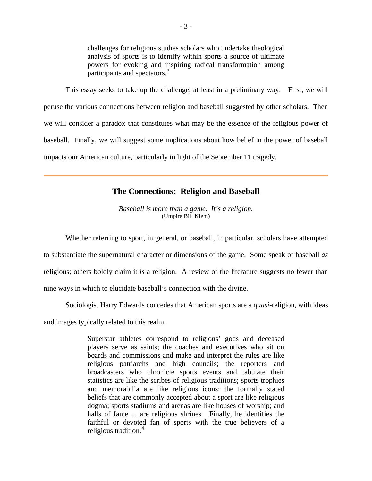challenges for religious studies scholars who undertake theological analysis of sports is to identify within sports a source of ultimate powers for evoking and inspiring radical transformation among participants and spectators.<sup>[3](#page-22-1)</sup>

This essay seeks to take up the challenge, at least in a preliminary way. First, we will peruse the various connections between religion and baseball suggested by other scholars. Then we will consider a paradox that constitutes what may be the essence of the religious power of baseball. Finally, we will suggest some implications about how belief in the power of baseball impacts our American culture, particularly in light of the September 11 tragedy.

#### **The Connections: Religion and Baseball**

*Baseball is more than a game. It's a religion.*  (Umpire Bill Klem)

Whether referring to sport, in general, or baseball, in particular, scholars have attempted to substantiate the supernatural character or dimensions of the game. Some speak of baseball *as* religious; others boldly claim it *is* a religion. A review of the literature suggests no fewer than nine ways in which to elucidate baseball's connection with the divine.

Sociologist Harry Edwards concedes that American sports are a *quasi*-religion, with ideas

and images typically related to this realm.

Superstar athletes correspond to religions' gods and deceased players serve as saints; the coaches and executives who sit on boards and commissions and make and interpret the rules are like religious patriarchs and high councils; the reporters and broadcasters who chronicle sports events and tabulate their statistics are like the scribes of religious traditions; sports trophies and memorabilia are like religious icons; the formally stated beliefs that are commonly accepted about a sport are like religious dogma; sports stadiums and arenas are like houses of worship; and halls of fame ... are religious shrines. Finally, he identifies the faithful or devoted fan of sports with the true believers of a religious tradition.<sup>[4](#page-22-1)</sup>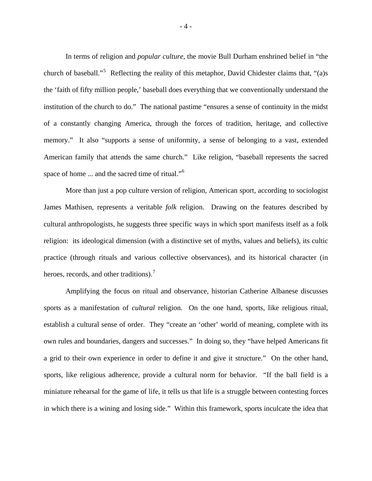In terms of religion and *popular culture*, the movie Bull Durham enshrined belief in "the church of baseball."<sup>[5](#page-22-1)</sup> Reflecting the reality of this metaphor, David Chidester claims that, "(a)s the 'faith of fifty million people,' baseball does everything that we conventionally understand the institution of the church to do." The national pastime "ensures a sense of continuity in the midst of a constantly changing America, through the forces of tradition, heritage, and collective memory." It also "supports a sense of uniformity, a sense of belonging to a vast, extended American family that attends the same church." Like religion, "baseball represents the sacred space of home ... and the sacred time of ritual."<sup>[6](#page-22-1)</sup>

More than just a pop culture version of religion, American sport, according to sociologist James Mathisen, represents a veritable *folk* religion. Drawing on the features described by cultural anthropologists, he suggests three specific ways in which sport manifests itself as a folk religion: its ideological dimension (with a distinctive set of myths, values and beliefs), its cultic practice (through rituals and various collective observances), and its historical character (in heroes, records, and other traditions).<sup>[7](#page-22-1)</sup>

Amplifying the focus on ritual and observance, historian Catherine Albanese discusses sports as a manifestation of *cultural* religion. On the one hand, sports, like religious ritual, establish a cultural sense of order. They "create an 'other' world of meaning, complete with its own rules and boundaries, dangers and successes." In doing so, they "have helped Americans fit a grid to their own experience in order to define it and give it structure." On the other hand, sports, like religious adherence, provide a cultural norm for behavior. "If the ball field is a miniature rehearsal for the game of life, it tells us that life is a struggle between contesting forces in which there is a wining and losing side." Within this framework, sports inculcate the idea that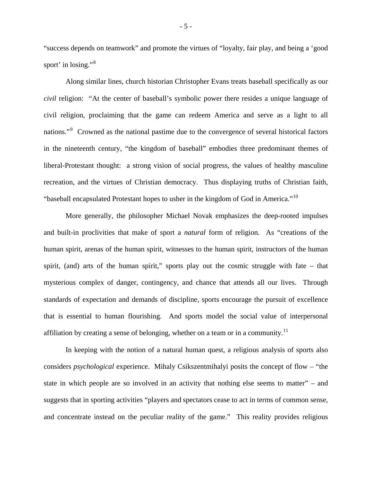"success depends on teamwork" and promote the virtues of "loyalty, fair play, and being a 'good sport' in losing."<sup>[8](#page-22-1)</sup>

Along similar lines, church historian Christopher Evans treats baseball specifically as our *civil* religion: "At the center of baseball's symbolic power there resides a unique language of civil religion, proclaiming that the game can redeem America and serve as a light to all nations."<sup>[9](#page-22-1)</sup> Crowned as the national pastime due to the convergence of several historical factors in the nineteenth century, "the kingdom of baseball" embodies three predominant themes of liberal-Protestant thought: a strong vision of social progress, the values of healthy masculine recreation, and the virtues of Christian democracy. Thus displaying truths of Christian faith, "baseball encapsulated Protestant hopes to usher in the kingdom of God in America."[10](#page-22-1)

More generally, the philosopher Michael Novak emphasizes the deep-rooted impulses and built-in proclivities that make of sport a *natural* form of religion. As "creations of the human spirit, arenas of the human spirit, witnesses to the human spirit, instructors of the human spirit, (and) arts of the human spirit," sports play out the cosmic struggle with fate – that mysterious complex of danger, contingency, and chance that attends all our lives. Through standards of expectation and demands of discipline, sports encourage the pursuit of excellence that is essential to human flourishing. And sports model the social value of interpersonal affiliation by creating a sense of belonging, whether on a team or in a community.<sup>[11](#page-22-1)</sup>

In keeping with the notion of a natural human quest, a religious analysis of sports also considers *psychological* experience. Mihaly Csikszentmihalyi posits the concept of flow – "the state in which people are so involved in an activity that nothing else seems to matter" – and suggests that in sporting activities "players and spectators cease to act in terms of common sense, and concentrate instead on the peculiar reality of the game." This reality provides religious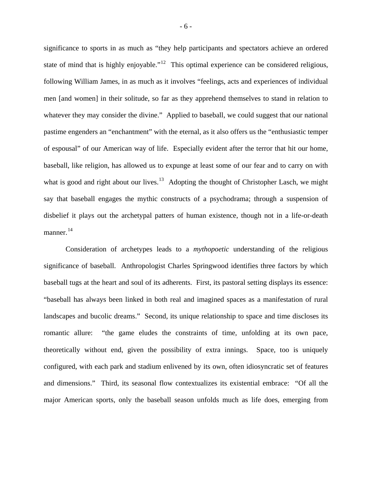significance to sports in as much as "they help participants and spectators achieve an ordered state of mind that is highly enjoyable."<sup>[12](#page-22-1)</sup> This optimal experience can be considered religious, following William James, in as much as it involves "feelings, acts and experiences of individual men [and women] in their solitude, so far as they apprehend themselves to stand in relation to whatever they may consider the divine." Applied to baseball, we could suggest that our national pastime engenders an "enchantment" with the eternal, as it also offers us the "enthusiastic temper of espousal" of our American way of life. Especially evident after the terror that hit our home, baseball, like religion, has allowed us to expunge at least some of our fear and to carry on with what is good and right about our lives.<sup>[13](#page-22-1)</sup> Adopting the thought of Christopher Lasch, we might say that baseball engages the mythic constructs of a psychodrama; through a suspension of disbelief it plays out the archetypal patters of human existence, though not in a life-or-death manner. $^{14}$  $^{14}$  $^{14}$ 

Consideration of archetypes leads to a *mythopoetic* understanding of the religious significance of baseball. Anthropologist Charles Springwood identifies three factors by which baseball tugs at the heart and soul of its adherents. First, its pastoral setting displays its essence: "baseball has always been linked in both real and imagined spaces as a manifestation of rural landscapes and bucolic dreams." Second, its unique relationship to space and time discloses its romantic allure: "the game eludes the constraints of time, unfolding at its own pace, theoretically without end, given the possibility of extra innings. Space, too is uniquely configured, with each park and stadium enlivened by its own, often idiosyncratic set of features and dimensions." Third, its seasonal flow contextualizes its existential embrace: "Of all the major American sports, only the baseball season unfolds much as life does, emerging from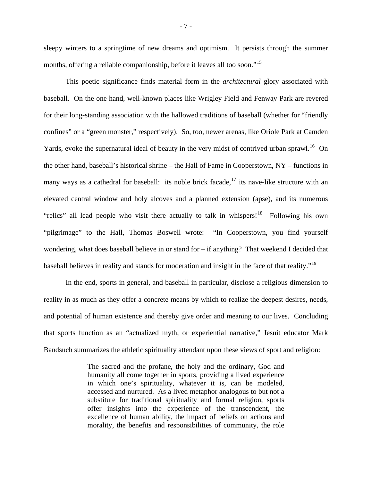sleepy winters to a springtime of new dreams and optimism. It persists through the summer months, offering a reliable companionship, before it leaves all too soon."<sup>[15](#page-22-1)</sup>

This poetic significance finds material form in the *architectural* glory associated with baseball. On the one hand, well-known places like Wrigley Field and Fenway Park are revered for their long-standing association with the hallowed traditions of baseball (whether for "friendly confines" or a "green monster," respectively). So, too, newer arenas, like Oriole Park at Camden Yards, evoke the supernatural ideal of beauty in the very midst of contrived urban sprawl.<sup>[16](#page-22-1)</sup> On the other hand, baseball's historical shrine – the Hall of Fame in Cooperstown, NY – functions in many ways as a cathedral for baseball: its noble brick facade,  $17$  its nave-like structure with an elevated central window and holy alcoves and a planned extension (apse), and its numerous "relics" all lead people who visit there actually to talk in whispers!<sup>[18](#page-22-1)</sup> Following his own "pilgrimage" to the Hall, Thomas Boswell wrote: "In Cooperstown, you find yourself wondering, what does baseball believe in or stand for – if anything? That weekend I decided that baseball believes in reality and stands for moderation and insight in the face of that reality."<sup>[19](#page-22-1)</sup>

In the end, sports in general, and baseball in particular, disclose a religious dimension to reality in as much as they offer a concrete means by which to realize the deepest desires, needs, and potential of human existence and thereby give order and meaning to our lives. Concluding that sports function as an "actualized myth, or experiential narrative," Jesuit educator Mark Bandsuch summarizes the athletic spirituality attendant upon these views of sport and religion:

> The sacred and the profane, the holy and the ordinary, God and humanity all come together in sports, providing a lived experience in which one's spirituality, whatever it is, can be modeled, accessed and nurtured. As a lived metaphor analogous to but not a substitute for traditional spirituality and formal religion, sports offer insights into the experience of the transcendent, the excellence of human ability, the impact of beliefs on actions and morality, the benefits and responsibilities of community, the role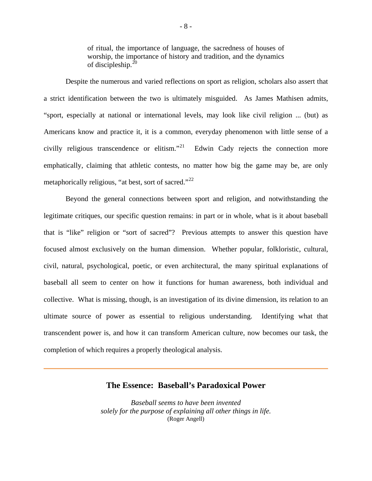of ritual, the importance of language, the sacredness of houses of worship, the importance of history and tradition, and the dynamics of discipleship. $^{20}$  $^{20}$  $^{20}$ 

Despite the numerous and varied reflections on sport as religion, scholars also assert that a strict identification between the two is ultimately misguided. As James Mathisen admits, "sport, especially at national or international levels, may look like civil religion ... (but) as Americans know and practice it, it is a common, everyday phenomenon with little sense of a civilly religious transcendence or elitism. $1^{21}$  $1^{21}$  $1^{21}$  Edwin Cady rejects the connection more emphatically, claiming that athletic contests, no matter how big the game may be, are only metaphorically religious, "at best, sort of sacred."<sup>[22](#page-22-1)</sup>

Beyond the general connections between sport and religion, and notwithstanding the legitimate critiques, our specific question remains: in part or in whole, what is it about baseball that is "like" religion or "sort of sacred"? Previous attempts to answer this question have focused almost exclusively on the human dimension. Whether popular, folkloristic, cultural, civil, natural, psychological, poetic, or even architectural, the many spiritual explanations of baseball all seem to center on how it functions for human awareness, both individual and collective. What is missing, though, is an investigation of its divine dimension, its relation to an ultimate source of power as essential to religious understanding. Identifying what that transcendent power is, and how it can transform American culture, now becomes our task, the completion of which requires a properly theological analysis.

#### **The Essence: Baseball's Paradoxical Power**

*Baseball seems to have been invented solely for the purpose of explaining all other things in life.*  (Roger Angell)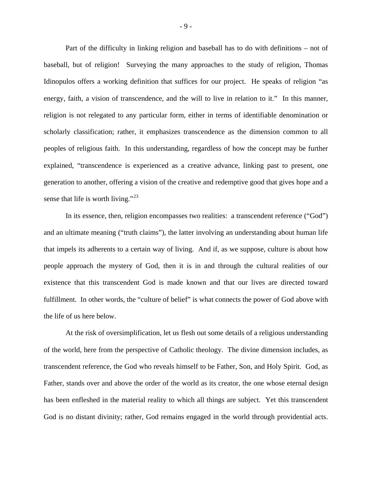Part of the difficulty in linking religion and baseball has to do with definitions – not of baseball, but of religion! Surveying the many approaches to the study of religion, Thomas Idinopulos offers a working definition that suffices for our project. He speaks of religion "as energy, faith, a vision of transcendence, and the will to live in relation to it." In this manner, religion is not relegated to any particular form, either in terms of identifiable denomination or scholarly classification; rather, it emphasizes transcendence as the dimension common to all peoples of religious faith. In this understanding, regardless of how the concept may be further explained, "transcendence is experienced as a creative advance, linking past to present, one generation to another, offering a vision of the creative and redemptive good that gives hope and a sense that life is worth living."<sup>[23](#page-22-1)</sup>

 In its essence, then, religion encompasses two realities: a transcendent reference ("God") and an ultimate meaning ("truth claims"), the latter involving an understanding about human life that impels its adherents to a certain way of living. And if, as we suppose, culture is about how people approach the mystery of God, then it is in and through the cultural realities of our existence that this transcendent God is made known and that our lives are directed toward fulfillment. In other words, the "culture of belief" is what connects the power of God above with the life of us here below.

 At the risk of oversimplification, let us flesh out some details of a religious understanding of the world, here from the perspective of Catholic theology. The divine dimension includes, as transcendent reference, the God who reveals himself to be Father, Son, and Holy Spirit. God, as Father, stands over and above the order of the world as its creator, the one whose eternal design has been enfleshed in the material reality to which all things are subject. Yet this transcendent God is no distant divinity; rather, God remains engaged in the world through providential acts.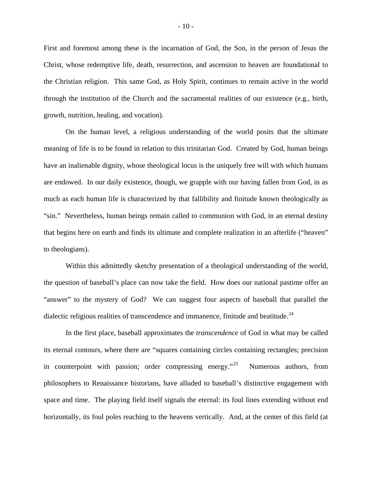First and foremost among these is the incarnation of God, the Son, in the person of Jesus the Christ, whose redemptive life, death, resurrection, and ascension to heaven are foundational to the Christian religion. This same God, as Holy Spirit, continues to remain active in the world through the institution of the Church and the sacramental realities of our existence (e.g., birth, growth, nutrition, healing, and vocation).

 On the human level, a religious understanding of the world posits that the ultimate meaning of life is to be found in relation to this trinitarian God. Created by God, human beings have an inalienable dignity, whose theological locus is the uniquely free will with which humans are endowed. In our daily existence, though, we grapple with our having fallen from God, in as much as each human life is characterized by that fallibility and finitude known theologically as "sin." Nevertheless, human beings remain called to communion with God, in an eternal destiny that begins here on earth and finds its ultimate and complete realization in an afterlife ("heaven" to theologians).

 Within this admittedly sketchy presentation of a theological understanding of the world, the question of baseball's place can now take the field. How does our national pastime offer an "answer" to the mystery of God? We can suggest four aspects of baseball that parallel the dialectic religious realities of transcendence and immanence, finitude and beatitude.<sup>[24](#page-22-1)</sup>

 In the first place, baseball approximates the *transcendence* of God in what may be called its eternal contours, where there are "squares containing circles containing rectangles; precision in counterpoint with passion; order compressing energy.<sup> $25$ </sup> Numerous authors, from philosophers to Renaissance historians, have alluded to baseball's distinctive engagement with space and time. The playing field itself signals the eternal: its foul lines extending without end horizontally, its foul poles reaching to the heavens vertically. And, at the center of this field (at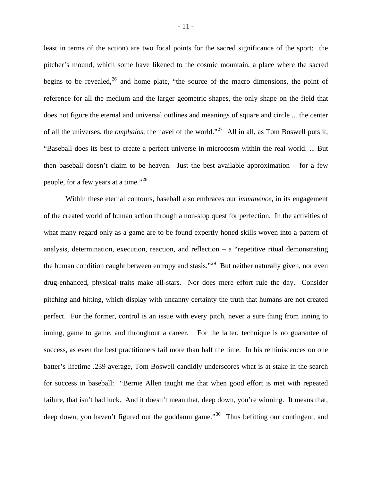least in terms of the action) are two focal points for the sacred significance of the sport: the pitcher's mound, which some have likened to the cosmic mountain, a place where the sacred begins to be revealed,  $26$  and home plate, "the source of the macro dimensions, the point of reference for all the medium and the larger geometric shapes, the only shape on the field that does not figure the eternal and universal outlines and meanings of square and circle ... the center of all the universes, the *omphalos*, the navel of the world."[27](#page-22-1) All in all, as Tom Boswell puts it, "Baseball does its best to create a perfect universe in microcosm within the real world. ... But then baseball doesn't claim to be heaven. Just the best available approximation – for a few people, for a few years at a time."[28](#page-22-1)

 Within these eternal contours, baseball also embraces our *immanence*, in its engagement of the created world of human action through a non-stop quest for perfection. In the activities of what many regard only as a game are to be found expertly honed skills woven into a pattern of analysis, determination, execution, reaction, and reflection  $-$  a "repetitive ritual demonstrating the human condition caught between entropy and stasis."<sup>[29](#page-22-1)</sup> But neither naturally given, nor even drug-enhanced, physical traits make all-stars. Nor does mere effort rule the day. Consider pitching and hitting, which display with uncanny certainty the truth that humans are not created perfect. For the former, control is an issue with every pitch, never a sure thing from inning to inning, game to game, and throughout a career. For the latter, technique is no guarantee of success, as even the best practitioners fail more than half the time. In his reminiscences on one batter's lifetime .239 average, Tom Boswell candidly underscores what is at stake in the search for success in baseball: "Bernie Allen taught me that when good effort is met with repeated failure, that isn't bad luck. And it doesn't mean that, deep down, you're winning. It means that, deep down, you haven't figured out the goddamn game.<sup>"[30](#page-22-1)</sup> Thus befitting our contingent, and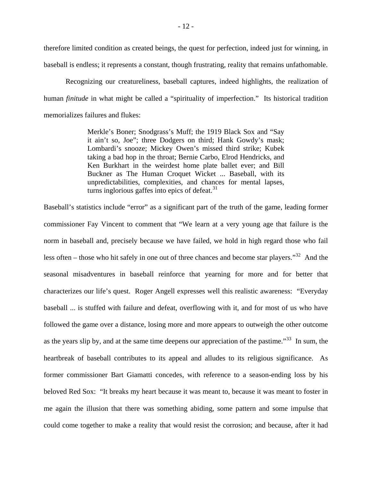therefore limited condition as created beings, the quest for perfection, indeed just for winning, in baseball is endless; it represents a constant, though frustrating, reality that remains unfathomable.

 Recognizing our creatureliness, baseball captures, indeed highlights, the realization of human *finitude* in what might be called a "spirituality of imperfection." Its historical tradition memorializes failures and flukes:

> Merkle's Boner; Snodgrass's Muff; the 1919 Black Sox and "Say it ain't so, Joe"; three Dodgers on third; Hank Gowdy's mask; Lombardi's snooze; Mickey Owen's missed third strike; Kubek taking a bad hop in the throat; Bernie Carbo, Elrod Hendricks, and Ken Burkhart in the weirdest home plate ballet ever; and Bill Buckner as The Human Croquet Wicket ... Baseball, with its unpredictabilities, complexities, and chances for mental lapses, turns inglorious gaffes into epics of defeat. $31$

Baseball's statistics include "error" as a significant part of the truth of the game, leading former commissioner Fay Vincent to comment that "We learn at a very young age that failure is the norm in baseball and, precisely because we have failed, we hold in high regard those who fail less often – those who hit safely in one out of three chances and become star players."[32](#page-22-1) And the seasonal misadventures in baseball reinforce that yearning for more and for better that characterizes our life's quest. Roger Angell expresses well this realistic awareness: "Everyday baseball ... is stuffed with failure and defeat, overflowing with it, and for most of us who have followed the game over a distance, losing more and more appears to outweigh the other outcome as the years slip by, and at the same time deepens our appreciation of the pastime."<sup>[33](#page-22-1)</sup> In sum, the heartbreak of baseball contributes to its appeal and alludes to its religious significance. As former commissioner Bart Giamatti concedes, with reference to a season-ending loss by his beloved Red Sox: "It breaks my heart because it was meant to, because it was meant to foster in me again the illusion that there was something abiding, some pattern and some impulse that could come together to make a reality that would resist the corrosion; and because, after it had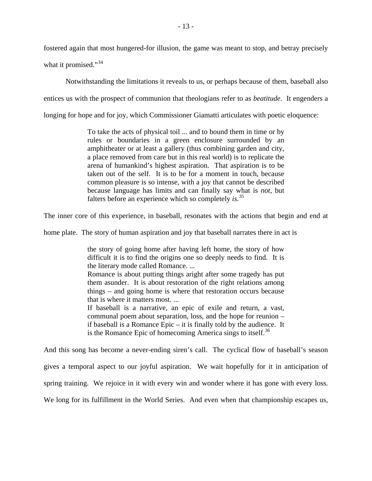fostered again that most hungered-for illusion, the game was meant to stop, and betray precisely what it promised."<sup>[34](#page-22-1)</sup>

 Notwithstanding the limitations it reveals to us, or perhaps because of them, baseball also entices us with the prospect of communion that theologians refer to as *beatitude*. It engenders a longing for hope and for joy, which Commissioner Giamatti articulates with poetic eloquence:

> To take the acts of physical toil ... and to bound them in time or by rules or boundaries in a green enclosure surrounded by an amphitheater or at least a gallery (thus combining garden and city, a place removed from care but in this real world) is to replicate the arena of humankind's highest aspiration. That aspiration is to be taken out of the self. It is to be for a moment in touch, because common pleasure is so intense, with a joy that cannot be described because language has limits and can finally say what is *not*, but falters before an experience which so completely *is*. [35](#page-22-1)

The inner core of this experience, in baseball, resonates with the actions that begin and end at

home plate. The story of human aspiration and joy that baseball narrates there in act is

the story of going home after having left home, the story of how difficult it is to find the origins one so deeply needs to find. It is the literary mode called Romance. ...

Romance is about putting things aright after some tragedy has put them asunder. It is about restoration of the right relations among things – and going home is where that restoration occurs because that is where it matters most. ...

If baseball is a narrative, an epic of exile and return, a vast, communal poem about separation, loss, and the hope for reunion – if baseball is a Romance Epic – it is finally told by the audience. It is the Romance Epic of homecoming America sings to itself.<sup>[36](#page-22-1)</sup>

And this song has become a never-ending siren's call. The cyclical flow of baseball's season gives a temporal aspect to our joyful aspiration. We wait hopefully for it in anticipation of spring training. We rejoice in it with every win and wonder where it has gone with every loss. We long for its fulfillment in the World Series. And even when that championship escapes us,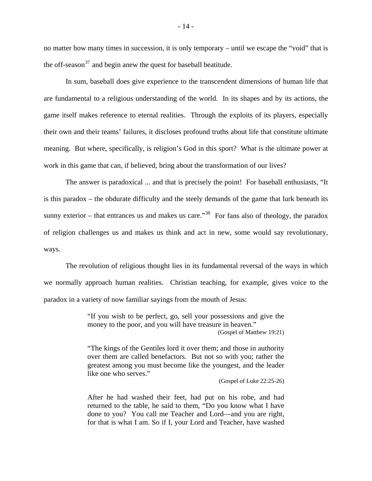no matter how many times in succession, it is only temporary – until we escape the "void" that is the off-season $^{37}$  $^{37}$  $^{37}$  and begin anew the quest for baseball beatitude.

 In sum, baseball does give experience to the transcendent dimensions of human life that are fundamental to a religious understanding of the world. In its shapes and by its actions, the game itself makes reference to eternal realities. Through the exploits of its players, especially their own and their teams' failures, it discloses profound truths about life that constitute ultimate meaning. But where, specifically, is religion's God in this sport? What is the ultimate power at work in this game that can, if believed, bring about the transformation of our lives?

 The answer is paradoxical ... and that is precisely the point! For baseball enthusiasts, "It is this paradox – the obdurate difficulty and the steely demands of the game that lurk beneath its sunny exterior – that entrances us and makes us care."<sup>[38](#page-22-1)</sup> For fans also of theology, the paradox of religion challenges us and makes us think and act in new, some would say revolutionary, ways.

 The revolution of religious thought lies in its fundamental reversal of the ways in which we normally approach human realities. Christian teaching, for example, gives voice to the paradox in a variety of now familiar sayings from the mouth of Jesus:

> "If you wish to be perfect, go, sell your possessions and give the money to the poor, and you will have treasure in heaven." (Gospel of Matthew 19:21)

> "The kings of the Gentiles lord it over them; and those in authority over them are called benefactors. But not so with you; rather the greatest among you must become like the youngest, and the leader like one who serves."

> > (Gospel of Luke 22:25-26)

After he had washed their feet, had put on his robe, and had returned to the table, he said to them, "Do you know what I have done to you? You call me Teacher and Lord—and you are right, for that is what I am. So if I, your Lord and Teacher, have washed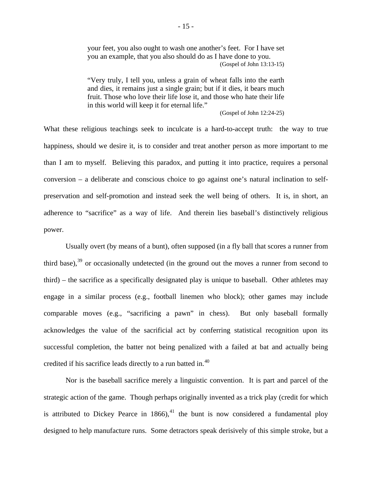your feet, you also ought to wash one another's feet. For I have set you an example, that you also should do as I have done to you. (Gospel of John 13:13-15)

"Very truly, I tell you, unless a grain of wheat falls into the earth and dies, it remains just a single grain; but if it dies, it bears much fruit. Those who love their life lose it, and those who hate their life in this world will keep it for eternal life."

(Gospel of John 12:24-25)

What these religious teachings seek to inculcate is a hard-to-accept truth: the way to true happiness, should we desire it, is to consider and treat another person as more important to me than I am to myself. Believing this paradox, and putting it into practice, requires a personal conversion – a deliberate and conscious choice to go against one's natural inclination to selfpreservation and self-promotion and instead seek the well being of others. It is, in short, an adherence to "sacrifice" as a way of life. And therein lies baseball's distinctively religious power.

 Usually overt (by means of a bunt), often supposed (in a fly ball that scores a runner from third base), $39$  or occasionally undetected (in the ground out the moves a runner from second to third) – the sacrifice as a specifically designated play is unique to baseball. Other athletes may engage in a similar process (e.g., football linemen who block); other games may include comparable moves (e.g., "sacrificing a pawn" in chess). But only baseball formally acknowledges the value of the sacrificial act by conferring statistical recognition upon its successful completion, the batter not being penalized with a failed at bat and actually being credited if his sacrifice leads directly to a run batted in.<sup>[40](#page-22-1)</sup>

 Nor is the baseball sacrifice merely a linguistic convention. It is part and parcel of the strategic action of the game. Though perhaps originally invented as a trick play (credit for which is attributed to Dickey Pearce in  $1866$ ,<sup>[41](#page-22-1)</sup> the bunt is now considered a fundamental ploy designed to help manufacture runs. Some detractors speak derisively of this simple stroke, but a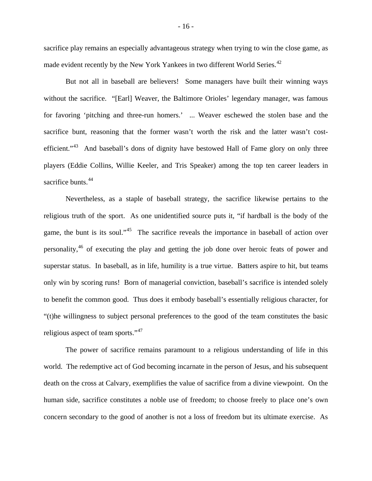sacrifice play remains an especially advantageous strategy when trying to win the close game, as made evident recently by the New York Yankees in two different World Series.<sup>[42](#page-22-1)</sup>

But not all in baseball are believers! Some managers have built their winning ways without the sacrifice. "[Earl] Weaver, the Baltimore Orioles' legendary manager, was famous for favoring 'pitching and three-run homers.' ... Weaver eschewed the stolen base and the sacrifice bunt, reasoning that the former wasn't worth the risk and the latter wasn't cost-efficient."<sup>[43](#page-22-1)</sup> And baseball's dons of dignity have bestowed Hall of Fame glory on only three players (Eddie Collins, Willie Keeler, and Tris Speaker) among the top ten career leaders in sacrifice bunts.<sup>[44](#page-22-1)</sup>

 Nevertheless, as a staple of baseball strategy, the sacrifice likewise pertains to the religious truth of the sport. As one unidentified source puts it, "if hardball is the body of the game, the bunt is its soul."<sup>[45](#page-22-1)</sup> The sacrifice reveals the importance in baseball of action over personality,[46](#page-22-1) of executing the play and getting the job done over heroic feats of power and superstar status. In baseball, as in life, humility is a true virtue. Batters aspire to hit, but teams only win by scoring runs! Born of managerial conviction, baseball's sacrifice is intended solely to benefit the common good. Thus does it embody baseball's essentially religious character, for "(t)he willingness to subject personal preferences to the good of the team constitutes the basic religious aspect of team sports."<sup>[47](#page-22-1)</sup>

 The power of sacrifice remains paramount to a religious understanding of life in this world. The redemptive act of God becoming incarnate in the person of Jesus, and his subsequent death on the cross at Calvary, exemplifies the value of sacrifice from a divine viewpoint. On the human side, sacrifice constitutes a noble use of freedom; to choose freely to place one's own concern secondary to the good of another is not a loss of freedom but its ultimate exercise. As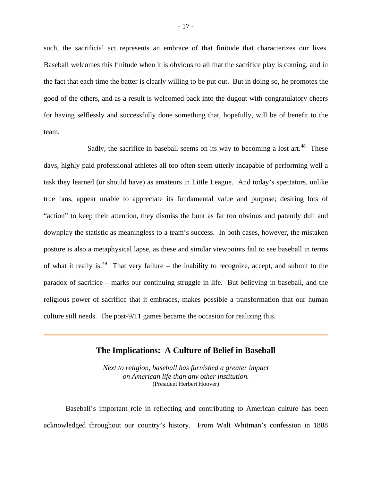such, the sacrificial act represents an embrace of that finitude that characterizes our lives. Baseball welcomes this finitude when it is obvious to all that the sacrifice play is coming, and in the fact that each time the batter is clearly willing to be put out. But in doing so, he promotes the good of the others, and as a result is welcomed back into the dugout with congratulatory cheers for having selflessly and successfully done something that, hopefully, will be of benefit to the team.

Sadly, the sacrifice in baseball seems on its way to becoming a lost art.<sup>[48](#page-22-1)</sup> These days, highly paid professional athletes all too often seem utterly incapable of performing well a task they learned (or should have) as amateurs in Little League. And today's spectators, unlike true fans, appear unable to appreciate its fundamental value and purpose; desiring lots of "action" to keep their attention, they dismiss the bunt as far too obvious and patently dull and downplay the statistic as meaningless to a team's success. In both cases, however, the mistaken posture is also a metaphysical lapse, as these and similar viewpoints fail to see baseball in terms of what it really is.<sup>[49](#page-22-1)</sup> That very failure – the inability to recognize, accept, and submit to the paradox of sacrifice – marks our continuing struggle in life. But believing in baseball, and the religious power of sacrifice that it embraces, makes possible a transformation that our human culture still needs. The post-9/11 games became the occasion for realizing this.

#### **The Implications: A Culture of Belief in Baseball**

*Next to religion, baseball has furnished a greater impact on American life than any other institution.*  (President Herbert Hoover)

 Baseball's important role in reflecting and contributing to American culture has been acknowledged throughout our country's history. From Walt Whitman's confession in 1888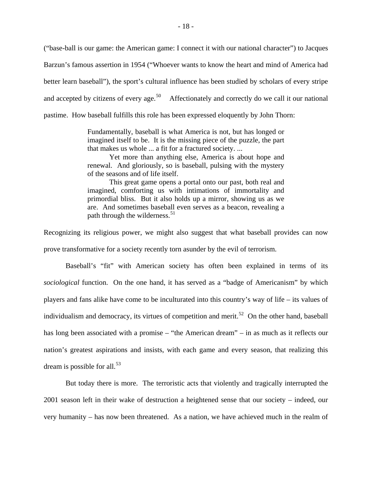("base-ball is our game: the American game: I connect it with our national character") to Jacques Barzun's famous assertion in 1954 ("Whoever wants to know the heart and mind of America had better learn baseball"), the sport's cultural influence has been studied by scholars of every stripe and accepted by citizens of every age.<sup>[50](#page-22-1)</sup> Affectionately and correctly do we call it our national pastime. How baseball fulfills this role has been expressed eloquently by John Thorn:

> Fundamentally, baseball is what America is not, but has longed or imagined itself to be. It is the missing piece of the puzzle, the part that makes us whole ... a fit for a fractured society. ...

> Yet more than anything else, America is about hope and renewal. And gloriously, so is baseball, pulsing with the mystery of the seasons and of life itself.

> This great game opens a portal onto our past, both real and imagined, comforting us with intimations of immortality and primordial bliss. But it also holds up a mirror, showing us as we are. And sometimes baseball even serves as a beacon, revealing a path through the wilderness.<sup>[51](#page-22-1)</sup>

Recognizing its religious power, we might also suggest that what baseball provides can now prove transformative for a society recently torn asunder by the evil of terrorism.

 Baseball's "fit" with American society has often been explained in terms of its *sociological* function. On the one hand, it has served as a "badge of Americanism" by which players and fans alike have come to be inculturated into this country's way of life – its values of individualism and democracy, its virtues of competition and merit.<sup>[52](#page-22-1)</sup> On the other hand, baseball has long been associated with a promise – "the American dream" – in as much as it reflects our nation's greatest aspirations and insists, with each game and every season, that realizing this dream is possible for all.<sup>[53](#page-22-1)</sup>

 But today there is more. The terroristic acts that violently and tragically interrupted the 2001 season left in their wake of destruction a heightened sense that our society – indeed, our very humanity – has now been threatened. As a nation, we have achieved much in the realm of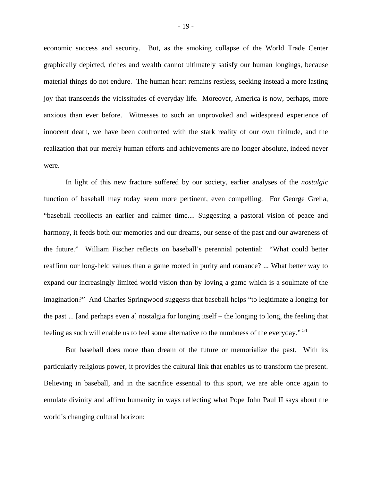economic success and security. But, as the smoking collapse of the World Trade Center graphically depicted, riches and wealth cannot ultimately satisfy our human longings, because material things do not endure. The human heart remains restless, seeking instead a more lasting joy that transcends the vicissitudes of everyday life. Moreover, America is now, perhaps, more anxious than ever before. Witnesses to such an unprovoked and widespread experience of innocent death, we have been confronted with the stark reality of our own finitude, and the realization that our merely human efforts and achievements are no longer absolute, indeed never were.

 In light of this new fracture suffered by our society, earlier analyses of the *nostalgic* function of baseball may today seem more pertinent, even compelling. For George Grella, "baseball recollects an earlier and calmer time.... Suggesting a pastoral vision of peace and harmony, it feeds both our memories and our dreams, our sense of the past and our awareness of the future." William Fischer reflects on baseball's perennial potential: "What could better reaffirm our long-held values than a game rooted in purity and romance? ... What better way to expand our increasingly limited world vision than by loving a game which is a soulmate of the imagination?" And Charles Springwood suggests that baseball helps "to legitimate a longing for the past ... [and perhaps even a] nostalgia for longing itself – the longing to long, the feeling that feeling as such will enable us to feel some alternative to the numbness of the everyday." [54](#page-22-1)

 But baseball does more than dream of the future or memorialize the past. With its particularly religious power, it provides the cultural link that enables us to transform the present. Believing in baseball, and in the sacrifice essential to this sport, we are able once again to emulate divinity and affirm humanity in ways reflecting what Pope John Paul II says about the world's changing cultural horizon: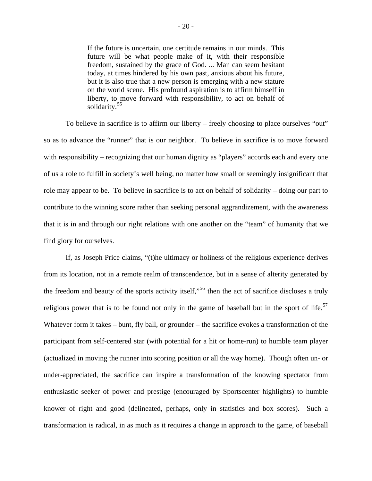If the future is uncertain, one certitude remains in our minds. This future will be what people make of it, with their responsible freedom, sustained by the grace of God. ... Man can seem hesitant today, at times hindered by his own past, anxious about his future, but it is also true that a new person is emerging with a new stature on the world scene. His profound aspiration is to affirm himself in liberty, to move forward with responsibility, to act on behalf of solidarity.<sup>[55](#page-22-1)</sup>

 To believe in sacrifice is to affirm our liberty – freely choosing to place ourselves "out" so as to advance the "runner" that is our neighbor. To believe in sacrifice is to move forward with responsibility – recognizing that our human dignity as "players" accords each and every one of us a role to fulfill in society's well being, no matter how small or seemingly insignificant that role may appear to be. To believe in sacrifice is to act on behalf of solidarity – doing our part to contribute to the winning score rather than seeking personal aggrandizement, with the awareness that it is in and through our right relations with one another on the "team" of humanity that we find glory for ourselves.

 If, as Joseph Price claims, "(t)he ultimacy or holiness of the religious experience derives from its location, not in a remote realm of transcendence, but in a sense of alterity generated by the freedom and beauty of the sports activity itself,"<sup>[56](#page-22-1)</sup> then the act of sacrifice discloses a truly religious power that is to be found not only in the game of baseball but in the sport of life.<sup>57</sup> Whatever form it takes – bunt, fly ball, or grounder – the sacrifice evokes a transformation of the participant from self-centered star (with potential for a hit or home-run) to humble team player (actualized in moving the runner into scoring position or all the way home). Though often un- or under-appreciated, the sacrifice can inspire a transformation of the knowing spectator from enthusiastic seeker of power and prestige (encouraged by Sportscenter highlights) to humble knower of right and good (delineated, perhaps, only in statistics and box scores). Such a transformation is radical, in as much as it requires a change in approach to the game, of baseball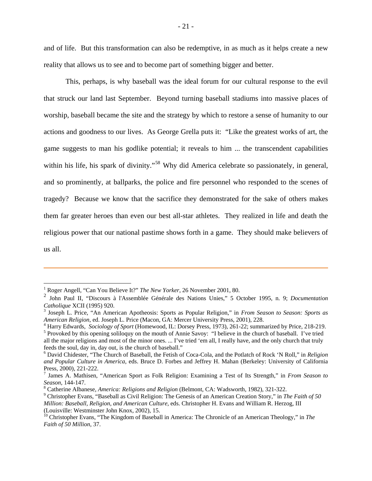and of life. But this transformation can also be redemptive, in as much as it helps create a new reality that allows us to see and to become part of something bigger and better.

 This, perhaps, is why baseball was the ideal forum for our cultural response to the evil that struck our land last September. Beyond turning baseball stadiums into massive places of worship, baseball became the site and the strategy by which to restore a sense of humanity to our actions and goodness to our lives. As George Grella puts it: "Like the greatest works of art, the game suggests to man his godlike potential; it reveals to him ... the transcendent capabilities within his life, his spark of divinity."<sup>[58](#page-22-1)</sup> Why did America celebrate so passionately, in general, and so prominently, at ballparks, the police and fire personnel who responded to the scenes of tragedy? Because we know that the sacrifice they demonstrated for the sake of others makes them far greater heroes than even our best all-star athletes. They realized in life and death the religious power that our national pastime shows forth in a game. They should make believers of us all.

1

<sup>&</sup>lt;sup>1</sup> Roger Angell, "Can You Believe It?" *The New Yorker*, 26 November 2001, 80.

<sup>2</sup> John Paul II, "Discours à l'Assemblée Générale des Nations Unies," 5 October 1995, n. 9; *Documentation Catholique XCII* (1995) 920.

Joseph L. Price, "An American Apotheosis: Sports as Popular Religion," in *From Season to Season: Sports as American Religion*, ed. Joseph L. Price (Macon, GA: Mercer University Press, 2001), 228. 4

<sup>&</sup>lt;sup>4</sup> Harry Edwards, *Sociology of Sport* (Homewood, IL: Dorsey Press, 1973), 261-22; summarized by Price, 218-219.

<sup>&</sup>lt;sup>5</sup> Provoked by this opening soliloquy on the mouth of Annie Savoy: "I believe in the church of baseball. I've tried all the major religions and most of the minor ones. ... I've tried 'em all, I really have, and the only church that truly feeds the soul, day in, day out, is the church of baseball."

<sup>6</sup> David Chidester, "The Church of Baseball, the Fetish of Coca-Cola, and the Potlatch of Rock 'N Roll," in *Religion and Popular Culture in America*, eds. Bruce D. Forbes and Jeffrey H. Mahan (Berkeley: University of California Press, 2000), 221-222.

<sup>7</sup> James A. Mathisen, "American Sport as Folk Religion: Examining a Test of Its Strength," in *From Season to Season*, 144-147.

Catherine Albanese, *America: Religions and Religion* (Belmont, CA: Wadsworth, 1982), 321-322. 9

Christopher Evans, "Baseball as Civil Religion: The Genesis of an American Creation Story," in *The Faith of 50 Million: Baseball, Religion, and American Culture*, eds. Christopher H. Evans and William R. Herzog, III (Louisville: Westminster John Knox, 2002), 15.

<sup>&</sup>lt;sup>10</sup> Christopher Evans, "The Kingdom of Baseball in America: The Chronicle of an American Theology," in *The Faith of 50 Million*, 37.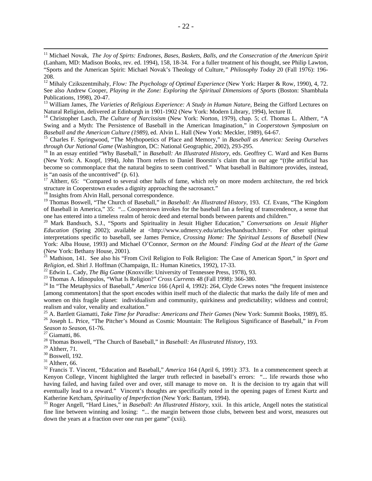<sup>11</sup> Michael Novak, *The Joy of Spirts: Endzones, Bases, Baskets, Balls, and the Consecration of the American Spirit* (Lanham, MD: Madison Books, rev. ed. 1994), 158, 18-34. For a fuller treatment of his thought, see Philip Lawton, "Sports and the American Spirit: Michael Novak's Theology of Culture*," Philosophy Today* 20 (Fall 1976): 196- 208.

<sup>12</sup> Mihaly Czikszentmihaly, *Flow: The Psychology of Optimal Experience* (New York: Harper & Row, 1990), 4, 72. See also Andrew Cooper, *Playing in the Zone: Exploring the Spiritual Dimensions of Sports* (Boston: Shambhala Publications, 1998), 20-47.

<sup>13</sup> William James, *The Varieties of Religious Experience: A Study in Human Nature*, Being the Gifford Lectures on Natural Religion, delivered at Edinburgh in 1901-1902 (New York: Modern Library, 1994), lecture II.

<sup>14</sup> Christopher Lasch, *The Culture of Narcissism* (New York: Norton, 1979), chap. 5; cf. Thomas L. Altherr, "A Swing and a Myth: The Persistence of Baseball in the American Imagination," in *Cooperstown Symposium on* 

*Baseball and the American Culture (1989)*, ed. Alvin L. Hall (New York: Meckler, 1989), 64-67.<br><sup>15</sup> Charles F. Springwood, "The Mythopoetics of Place and Memory," in *Baseball as America: Seeing Ourselves through Our Na* 

<sup>16</sup> In an essay entitled "Why Baseball," in *Baseball: An Illustrated History*, eds. Geoffrey C. Ward and Ken Burns (New York: A. Knopf, 1994), John Thorn refers to Daniel Boorstin's claim that in our age "(t)he artificial has become so commonplace that the natural begins to seem contrived." What baseball in Baltimore provides, instead, is "an oasis of the uncontrived" (p. 61).

<sup>17</sup> Altherr, 65: "Compared to several other halls of fame, which rely on more modern architecture, the red brick structure in Cooperstown exudes a dignity approaching the sacrosanct."<sup>18</sup> Insights from Alvin Hall, personal correspondence.

<sup>19</sup> Thomas Boswell, "The Church of Baseball," in *Baseball: An Illustrated History*, 193. Cf. Evans, "The Kingdom of Baseball in America," 35: "... Cooperstown invokes for the baseball fan a feeling of transcendence, a sense that

<sup>20</sup> Mark Bandsuch, S.J., "Sports and Spirituality in Jesuit Higher Education," *Conversations on Jesuit Higher Education* (Spring 2002); available at <http://www.udmercy.edu/articles/bandsuch.htm>. For other spiritual interpretations specific to baseball, see James Pernice, *Crossing Home: The Spiritual Lessons of Baseball* (New York: Alba House, 1993) and Michael O'Connor, *Sermon on the Mound: Finding God at the Heart of the Game* (New York: Bethany House, 2001).

21 Mathison, 141. See also his "From Civil Religion to Folk Religion: The Case of American Sport," in *Sport and*  Religion, ed. Shirl J. Hoffman (Champaign, IL: Human Kinetics, 1992), 17-33.<br>
<sup>22</sup> Edwin L. Cady, *The Big Game* (Knoxville: University of Tennessee Press, 1978), 93.<br>
<sup>23</sup> Thomas A. Idinopulos, "What Is Religion?" Cross C

[among commentators] that the sport encodes within itself much of the dialectic that marks the daily life of men and women on this fragile planet: individualism and community, quirkiness and predictability; wildness and control; realism and valor, venality and exaltation."<br><sup>25</sup> A. Bartlett Giamatti, *Take Time for Paradise: Americans and Their Games* (New York: Summit Books, 1989), 85.

<sup>26</sup> Joseph L. Price, "The Pitcher's Mound as Cosmic Mountain: The Religious Significance of Baseball," in From

*Season to Season*, 61-76. 27 Giamatti, 86.

28 Thomas Boswell, "The Church of Baseball," in *Baseball: An Illustrated History*, 193.

 $29$  Altherr, 71.

30 Boswell, 192.

 $31$  Altherr, 66.

32 Francis T. Vincent, "Education and Baseball," *America* 164 (April 6, 1991): 373. In a commencement speech at Kenyon College, Vincent highlighted the larger truth reflected in baseball's errors: "... life rewards those who having failed, and having failed over and over, still manage to move on. It is the decision to try again that will eventually lead to a reward." Vincent's thoughts are specifically noted in the opening pages of Ernest Kurtz and Katherine Ketcham, *Spirituality of Imperfection* (New York: Bantam, 1994).<br><sup>33</sup> Roger Angell, "Hard Lines," in *Baseball: An Illustrated History*, xxii. In this article, Angell notes the statistical

fine line between winning and losing: "... the margin between those clubs, between best and worst, measures out down the years at a fraction over one run per game" (xxii).